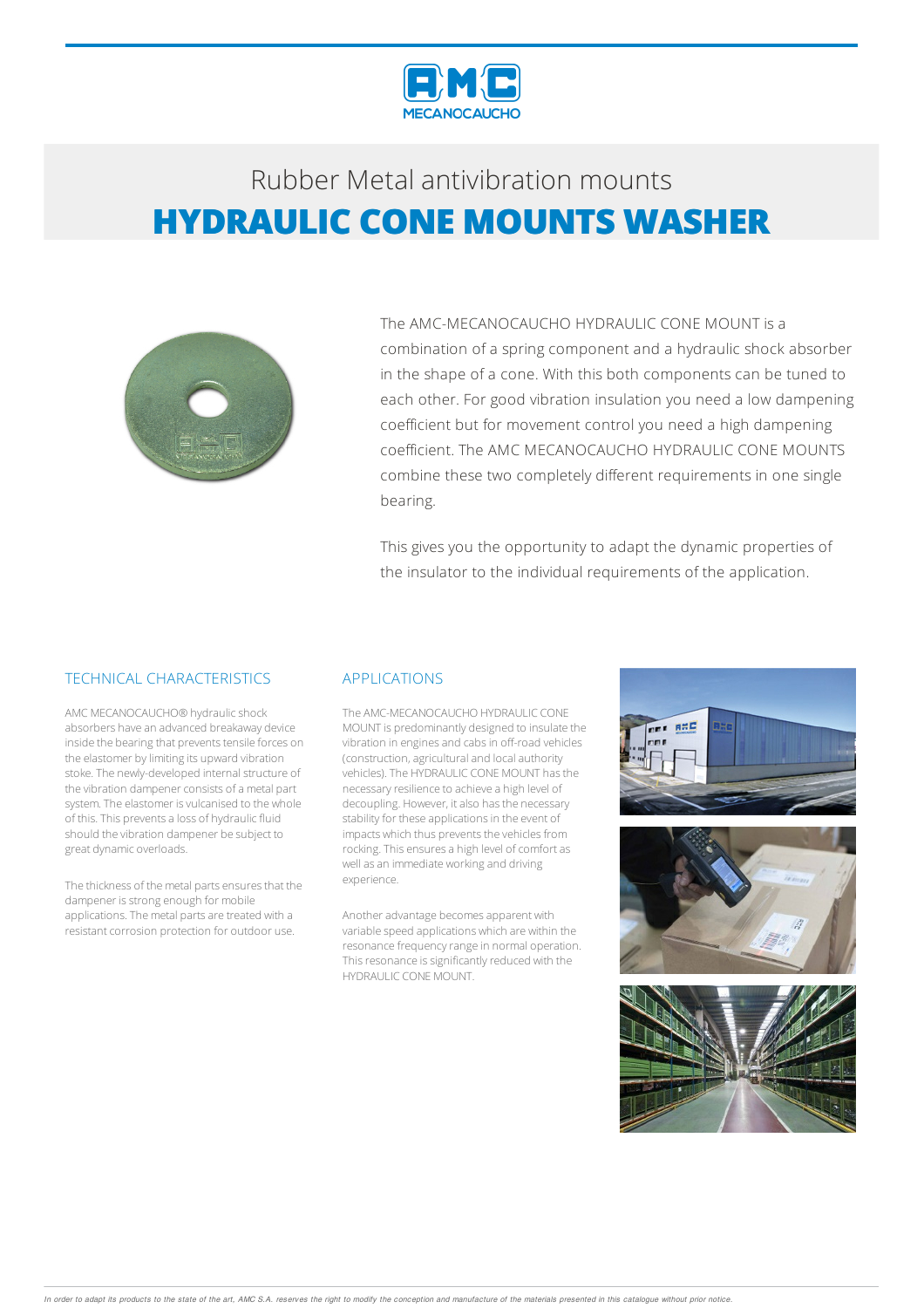

# Rubber Metalantivibration mounts **HYDRAULIC CONE MOUNTS WASHER**



The AMC-MECANOCAUCHO HYDRAULIC CONE MOUNT is a combination of a spring component and a hydraulic shock absorber in the shape of a cone. With this both components can be tuned to each other. For good vibration insulation you need a low dampening coefficient but for movement control you need a high dampening coefficient. The AMC MECANOCAUCHO HYDRAULIC CONE MOUNTS combine these two completely different requirements in one single bearing.

This gives you the opportunity to adapt the dynamic properties of the insulator to the individual requirements of the application.

### TECHNICAL CHARACTERISTICS

AMC MECANOCAUCHO® hydraulicshock absorbers have an advanced breakaway device inside the bearing that prevents tensile forces on the elastomer by limiting its upward vibration stoke. The newly-developed internal structure of the vibration dampener consists of a metal part system. The elastomer is vulcanised to the whole of this. This prevents a loss of hydraulic fluid should the vibration dampener be subject to great dynamic overloads.

The thickness of the metal parts ensures that the dampener is strong enough for mobile applications. The metal parts are treated with a resistant corrosion protection for outdoor use.

#### APPLICATIONS

The AMC-MECANOCAUCHO HYDRAULIC CONE MOUNT is predominantly designed to insulate the vibration in engines and cabs in off-road vehicles (construction, agricultural and local authority vehicles).The HYDRAULIC CONEMOUNT hasthe necessary resilience to achieve a high level of decoupling. However, it also has the necessary stability for these applications in the event of impacts which thus prevents the vehicles from rocking. This ensures a high level of comfort as well as an immediate working and driving experience.

Another advantage becomes apparent with variable speed applications which are within the resonance frequency range in normal operation. This resonance is significantly reduced with the HYDRAULIC CONEMOUNT.

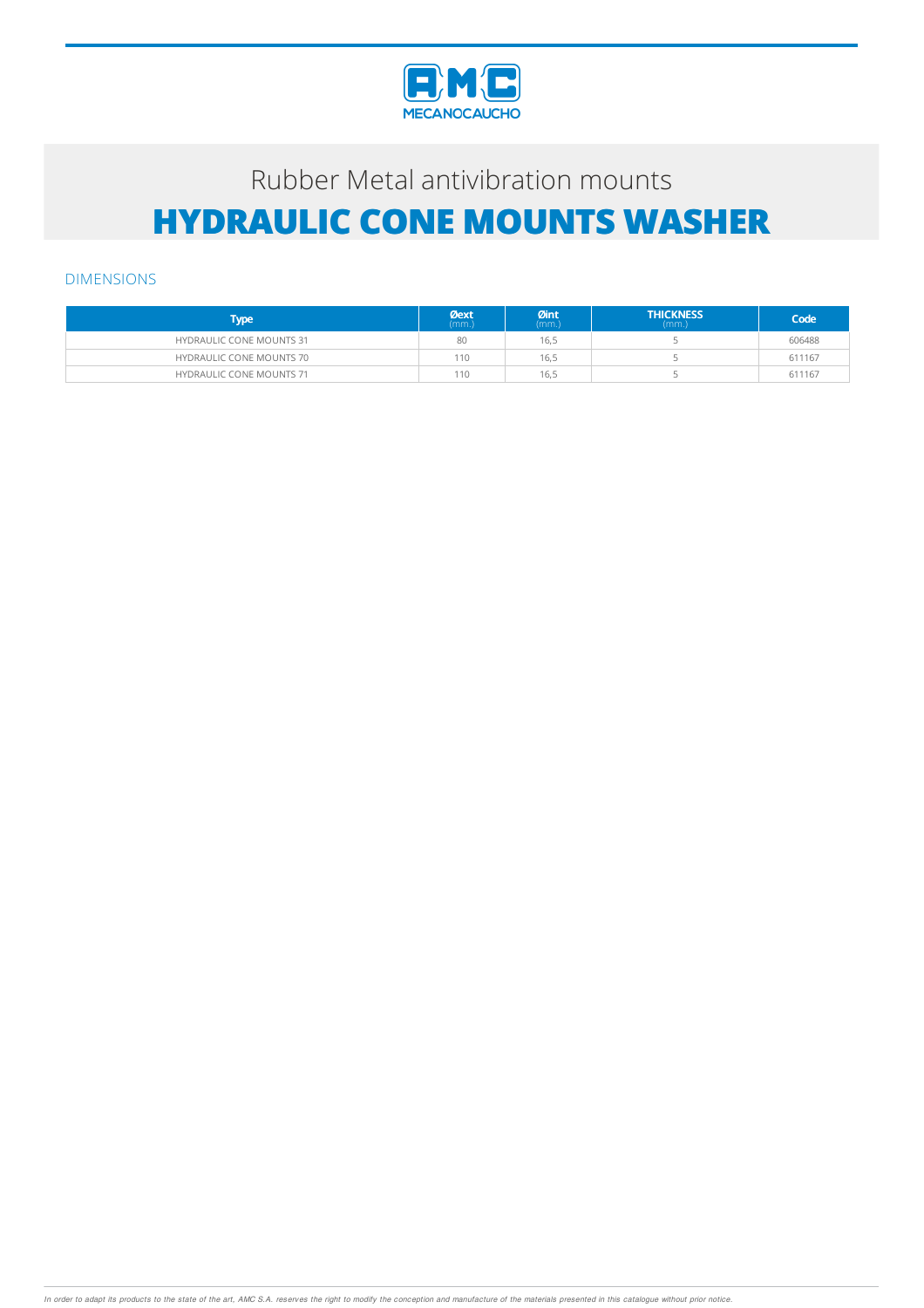

# Rubber Metal antivibration mounts **HYDRAULIC CONE MOUNTS WASHER**

### DIMENSIONS

| <b>Type</b>                     | <b>Øext</b><br>(mm.) | $Qint_{(mm.)}$ | <b>THICKNESS</b><br>(mm.) | Code   |
|---------------------------------|----------------------|----------------|---------------------------|--------|
| <b>HYDRAULIC CONE MOUNTS 31</b> | 80                   | 16,5           |                           | 606488 |
| <b>HYDRAULIC CONE MOUNTS 70</b> | 110                  | 16,5           |                           | 611167 |
| <b>HYDRAULIC CONE MOUNTS 71</b> | 110                  | 16,5           |                           | 611167 |

In order to adapt its products to the state of the art, AMC S.A. reserves the right to modify the conception and manufacture of the materials presented in this catalogue without prior notice.